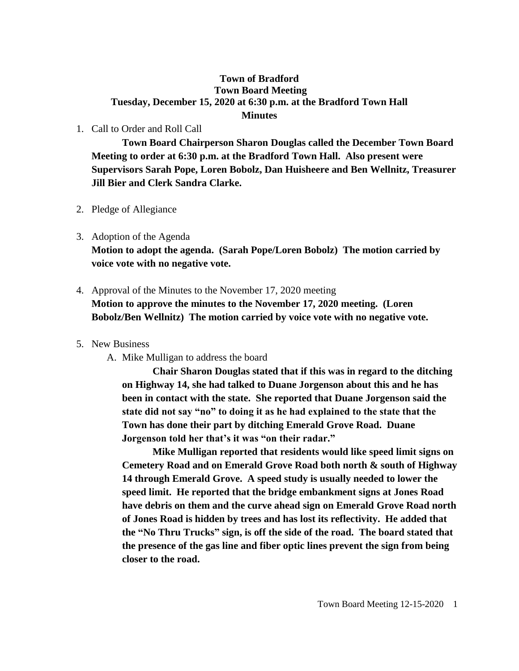## **Town of Bradford Town Board Meeting Tuesday, December 15, 2020 at 6:30 p.m. at the Bradford Town Hall Minutes**

### 1. Call to Order and Roll Call

**Town Board Chairperson Sharon Douglas called the December Town Board Meeting to order at 6:30 p.m. at the Bradford Town Hall. Also present were Supervisors Sarah Pope, Loren Bobolz, Dan Huisheere and Ben Wellnitz, Treasurer Jill Bier and Clerk Sandra Clarke.**

- 2. Pledge of Allegiance
- 3. Adoption of the Agenda

**Motion to adopt the agenda. (Sarah Pope/Loren Bobolz) The motion carried by voice vote with no negative vote.**

## 4. Approval of the Minutes to the November 17, 2020 meeting **Motion to approve the minutes to the November 17, 2020 meeting. (Loren**

**Bobolz/Ben Wellnitz) The motion carried by voice vote with no negative vote.**

#### 5. New Business

A. Mike Mulligan to address the board

**Chair Sharon Douglas stated that if this was in regard to the ditching on Highway 14, she had talked to Duane Jorgenson about this and he has been in contact with the state. She reported that Duane Jorgenson said the state did not say "no" to doing it as he had explained to the state that the Town has done their part by ditching Emerald Grove Road. Duane Jorgenson told her that's it was "on their radar."** 

**Mike Mulligan reported that residents would like speed limit signs on Cemetery Road and on Emerald Grove Road both north & south of Highway 14 through Emerald Grove. A speed study is usually needed to lower the speed limit. He reported that the bridge embankment signs at Jones Road have debris on them and the curve ahead sign on Emerald Grove Road north of Jones Road is hidden by trees and has lost its reflectivity. He added that the "No Thru Trucks" sign, is off the side of the road. The board stated that the presence of the gas line and fiber optic lines prevent the sign from being closer to the road.**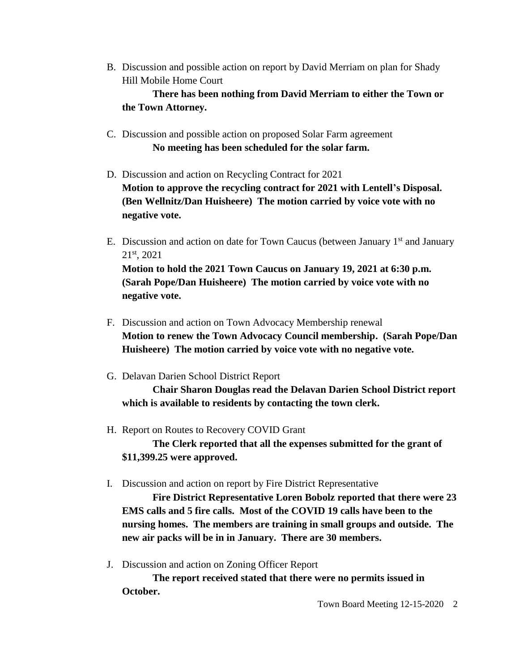B. Discussion and possible action on report by David Merriam on plan for Shady Hill Mobile Home Court

**There has been nothing from David Merriam to either the Town or the Town Attorney.**

- C. Discussion and possible action on proposed Solar Farm agreement **No meeting has been scheduled for the solar farm.**
- D. Discussion and action on Recycling Contract for 2021 **Motion to approve the recycling contract for 2021 with Lentell's Disposal. (Ben Wellnitz/Dan Huisheere) The motion carried by voice vote with no negative vote.**
- E. Discussion and action on date for Town Caucus (between January  $1<sup>st</sup>$  and January 21st, 2021 **Motion to hold the 2021 Town Caucus on January 19, 2021 at 6:30 p.m. (Sarah Pope/Dan Huisheere) The motion carried by voice vote with no negative vote.**
- F. Discussion and action on Town Advocacy Membership renewal **Motion to renew the Town Advocacy Council membership. (Sarah Pope/Dan Huisheere) The motion carried by voice vote with no negative vote.**
- G. Delavan Darien School District Report

**Chair Sharon Douglas read the Delavan Darien School District report which is available to residents by contacting the town clerk.**

H. Report on Routes to Recovery COVID Grant

**The Clerk reported that all the expenses submitted for the grant of \$11,399.25 were approved.**

I. Discussion and action on report by Fire District Representative

**Fire District Representative Loren Bobolz reported that there were 23 EMS calls and 5 fire calls. Most of the COVID 19 calls have been to the nursing homes. The members are training in small groups and outside. The new air packs will be in in January. There are 30 members.**

J. Discussion and action on Zoning Officer Report

**The report received stated that there were no permits issued in October.**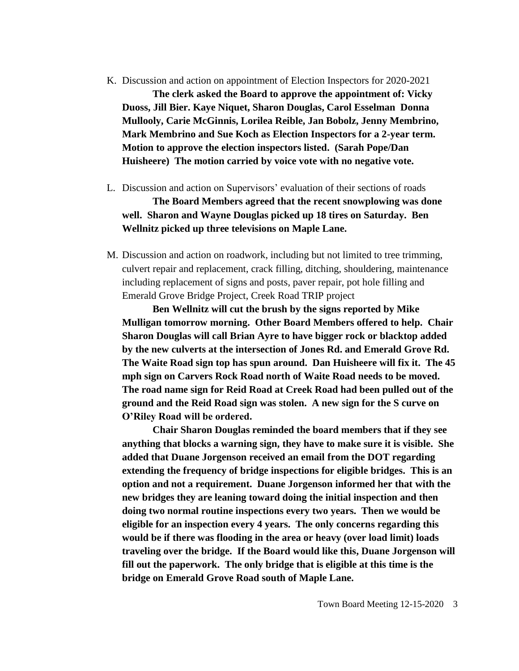- K. Discussion and action on appointment of Election Inspectors for 2020-2021 **The clerk asked the Board to approve the appointment of: Vicky Duoss, Jill Bier. Kaye Niquet, Sharon Douglas, Carol Esselman Donna Mullooly, Carie McGinnis, Lorilea Reible, Jan Bobolz, Jenny Membrino, Mark Membrino and Sue Koch as Election Inspectors for a 2-year term. Motion to approve the election inspectors listed. (Sarah Pope/Dan Huisheere) The motion carried by voice vote with no negative vote.**
- L. Discussion and action on Supervisors' evaluation of their sections of roads **The Board Members agreed that the recent snowplowing was done well. Sharon and Wayne Douglas picked up 18 tires on Saturday. Ben Wellnitz picked up three televisions on Maple Lane.**
- M. Discussion and action on roadwork, including but not limited to tree trimming, culvert repair and replacement, crack filling, ditching, shouldering, maintenance including replacement of signs and posts, paver repair, pot hole filling and Emerald Grove Bridge Project, Creek Road TRIP project

**Ben Wellnitz will cut the brush by the signs reported by Mike Mulligan tomorrow morning. Other Board Members offered to help. Chair Sharon Douglas will call Brian Ayre to have bigger rock or blacktop added by the new culverts at the intersection of Jones Rd. and Emerald Grove Rd. The Waite Road sign top has spun around. Dan Huisheere will fix it. The 45 mph sign on Carvers Rock Road north of Waite Road needs to be moved. The road name sign for Reid Road at Creek Road had been pulled out of the ground and the Reid Road sign was stolen. A new sign for the S curve on O'Riley Road will be ordered.**

**Chair Sharon Douglas reminded the board members that if they see anything that blocks a warning sign, they have to make sure it is visible. She added that Duane Jorgenson received an email from the DOT regarding extending the frequency of bridge inspections for eligible bridges. This is an option and not a requirement. Duane Jorgenson informed her that with the new bridges they are leaning toward doing the initial inspection and then doing two normal routine inspections every two years. Then we would be eligible for an inspection every 4 years. The only concerns regarding this would be if there was flooding in the area or heavy (over load limit) loads traveling over the bridge. If the Board would like this, Duane Jorgenson will fill out the paperwork. The only bridge that is eligible at this time is the bridge on Emerald Grove Road south of Maple Lane.**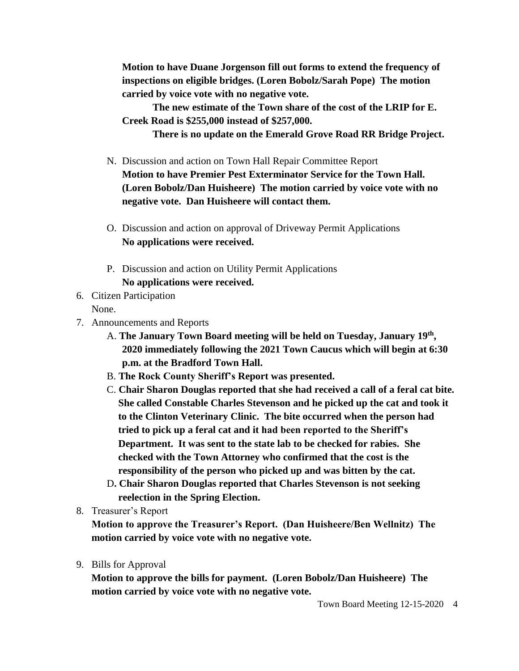**Motion to have Duane Jorgenson fill out forms to extend the frequency of inspections on eligible bridges. (Loren Bobolz/Sarah Pope) The motion carried by voice vote with no negative vote.**

**The new estimate of the Town share of the cost of the LRIP for E. Creek Road is \$255,000 instead of \$257,000.**

**There is no update on the Emerald Grove Road RR Bridge Project.**

- N. Discussion and action on Town Hall Repair Committee Report **Motion to have Premier Pest Exterminator Service for the Town Hall. (Loren Bobolz/Dan Huisheere) The motion carried by voice vote with no negative vote. Dan Huisheere will contact them.**
- O. Discussion and action on approval of Driveway Permit Applications **No applications were received.**
- P. Discussion and action on Utility Permit Applications **No applications were received.**
- 6. Citizen Participation
	- None.
- 7. Announcements and Reports
	- A. **The January Town Board meeting will be held on Tuesday, January 19th , 2020 immediately following the 2021 Town Caucus which will begin at 6:30 p.m. at the Bradford Town Hall.**
	- B. **The Rock County Sheriff's Report was presented.**
	- C. **Chair Sharon Douglas reported that she had received a call of a feral cat bite. She called Constable Charles Stevenson and he picked up the cat and took it to the Clinton Veterinary Clinic. The bite occurred when the person had tried to pick up a feral cat and it had been reported to the Sheriff's Department. It was sent to the state lab to be checked for rabies. She checked with the Town Attorney who confirmed that the cost is the responsibility of the person who picked up and was bitten by the cat.**
	- D**. Chair Sharon Douglas reported that Charles Stevenson is not seeking reelection in the Spring Election.**
- 8. Treasurer's Report

**Motion to approve the Treasurer's Report. (Dan Huisheere/Ben Wellnitz) The motion carried by voice vote with no negative vote.**

9. Bills for Approval

**Motion to approve the bills for payment. (Loren Bobolz/Dan Huisheere) The motion carried by voice vote with no negative vote.**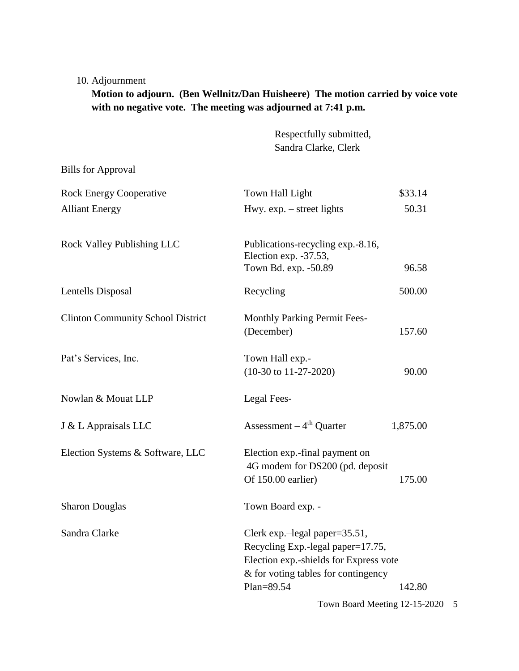## 10. Adjournment

# **Motion to adjourn. (Ben Wellnitz/Dan Huisheere) The motion carried by voice vote with no negative vote. The meeting was adjourned at 7:41 p.m.**

Respectfully submitted, Sandra Clarke, Clerk

Bills for Approval

| <b>Rock Energy Cooperative</b>           | Town Hall Light                                                                                                                                                                 | \$33.14  |  |
|------------------------------------------|---------------------------------------------------------------------------------------------------------------------------------------------------------------------------------|----------|--|
| <b>Alliant Energy</b>                    | Hwy. $exp. - street$ lights                                                                                                                                                     | 50.31    |  |
| <b>Rock Valley Publishing LLC</b>        | Publications-recycling exp.-8.16,<br>Election exp. -37.53,<br>Town Bd. exp. -50.89                                                                                              | 96.58    |  |
| Lentells Disposal                        | Recycling                                                                                                                                                                       | 500.00   |  |
| <b>Clinton Community School District</b> | <b>Monthly Parking Permit Fees-</b><br>(December)                                                                                                                               | 157.60   |  |
| Pat's Services, Inc.                     | Town Hall exp.-<br>$(10-30 \text{ to } 11-27-2020)$                                                                                                                             | 90.00    |  |
| Nowlan & Mouat LLP                       | Legal Fees-                                                                                                                                                                     |          |  |
| J & L Appraisals LLC                     | Assessment $-4th$ Quarter                                                                                                                                                       | 1,875.00 |  |
| Election Systems & Software, LLC         | Election exp.-final payment on<br>4G modem for DS200 (pd. deposit<br>Of 150.00 earlier)                                                                                         | 175.00   |  |
| <b>Sharon Douglas</b>                    | Town Board exp. -                                                                                                                                                               |          |  |
| Sandra Clarke                            | Clerk exp.-legal paper= $35.51$ ,<br>Recycling Exp.-legal paper=17.75,<br>Election exp.-shields for Express vote<br>& for voting tables for contingency<br>Plan=89.54<br>142.80 |          |  |
|                                          | Town Board Meeting 12-15-2020<br>5                                                                                                                                              |          |  |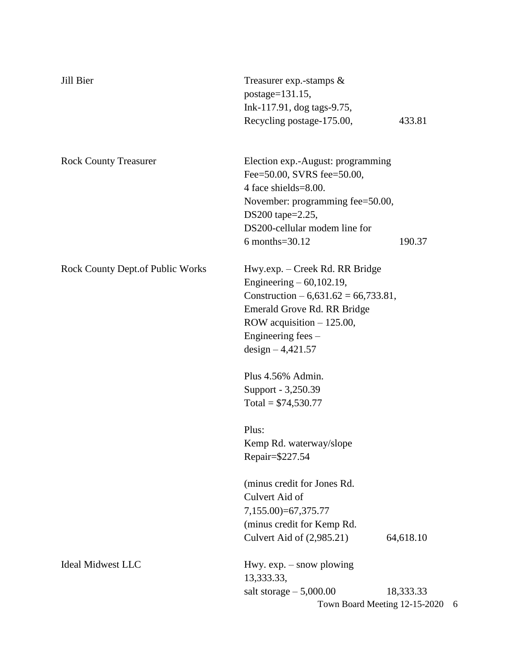| Jill Bier                               | Treasurer exp.-stamps &<br>postage= $131.15$ ,<br>Ink-117.91, dog tags-9.75, |           |  |
|-----------------------------------------|------------------------------------------------------------------------------|-----------|--|
|                                         | Recycling postage-175.00,                                                    | 433.81    |  |
| <b>Rock County Treasurer</b>            | Election exp.-August: programming                                            |           |  |
|                                         | Fee=50.00, SVRS fee=50.00,                                                   |           |  |
|                                         | 4 face shields=8.00.                                                         |           |  |
|                                         | November: programming fee=50.00,<br>DS200 tape=2.25,                         |           |  |
|                                         | DS200-cellular modem line for                                                |           |  |
|                                         | 6 months=30.12                                                               | 190.37    |  |
| <b>Rock County Dept.of Public Works</b> | Hwy.exp. – Creek Rd. RR Bridge                                               |           |  |
|                                         | Engineering $-60,102.19$ ,                                                   |           |  |
|                                         | Construction $-6,631.62 = 66,733.81$ ,<br>Emerald Grove Rd. RR Bridge        |           |  |
|                                         | ROW acquisition $-125.00$ ,                                                  |           |  |
|                                         | Engineering fees –                                                           |           |  |
|                                         | design $-4,421.57$                                                           |           |  |
|                                         | Plus 4.56% Admin.                                                            |           |  |
|                                         | Support - 3,250.39                                                           |           |  |
|                                         | Total = $$74,530.77$                                                         |           |  |
|                                         | Plus:                                                                        |           |  |
|                                         | Kemp Rd. waterway/slope                                                      |           |  |
|                                         | Repair=\$227.54                                                              |           |  |
|                                         | (minus credit for Jones Rd.)                                                 |           |  |
|                                         | Culvert Aid of                                                               |           |  |
|                                         | 7,155.00)=67,375.77                                                          |           |  |
|                                         | (minus credit for Kemp Rd.)                                                  |           |  |
|                                         | Culvert Aid of (2,985.21)                                                    | 64,618.10 |  |
| <b>Ideal Midwest LLC</b>                | Hwy. $exp. - snow$ plowing<br>13,333.33,                                     |           |  |
|                                         | salt storage $-5,000.00$                                                     | 18,333.33 |  |
|                                         | Town Board Meeting 12-15-2020 6                                              |           |  |